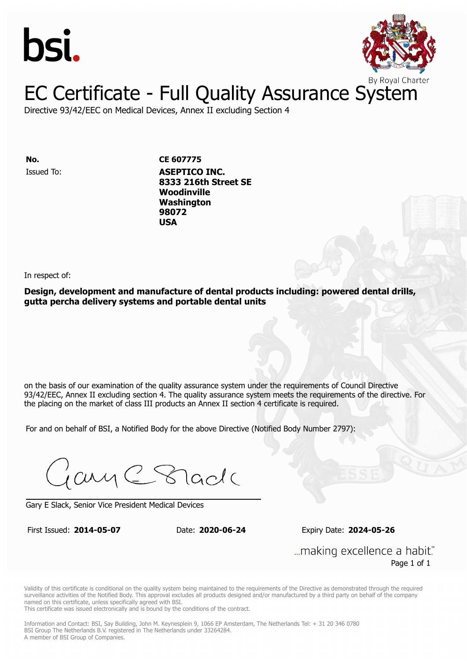



### EC Certificate - Full Quality Assurance System

Directive 93/42/EEC on Medical Devices, Annex II excluding Section 4

**No. CE 607775** Issued To: **ASEPTICO INC. 8333 216th Street SE Woodinville Washington 98072 USA**

In respect of:

**Design, development and manufacture of dental products including: powered dental drills, gutta percha delivery systems and portable dental units**

on the basis of our examination of the quality assurance system under the requirements of Council Directive 93/42/EEC, Annex II excluding section 4. The quality assurance system meets the requirements of the directive. For the placing on the market of class III products an Annex II section 4 certificate is required.

For and on behalf of BSI, a Notified Body for the above Directive (Notified Body Number 2797):

Gary C Stade

Gary E Slack, Senior Vice President Medical Devices

First Issued: **2014-05-07** Date: **2020-06-24** Expiry Date: **2024-05-26**

... making excellence a habit." Page 1 of 1

Validity of this certificate is conditional on the quality system being maintained to the requirements of the Directive as demonstrated through the required surveillance activities of the Notified Body. This approval excludes all products designed and/or manufactured by a third party on behalf of the company named on this certificate, unless specifically agreed with BSI.

This certificate was issued electronically and is bound by the conditions of the contract.

Information and Contact: BSI, Say Building, John M. Keynesplein 9, 1066 EP Amsterdam, The Netherlands Tel: + 31 20 346 0780 BSI Group The Netherlands B.V. registered in The Netherlands under 33264284. A member of BSI Group of Companies.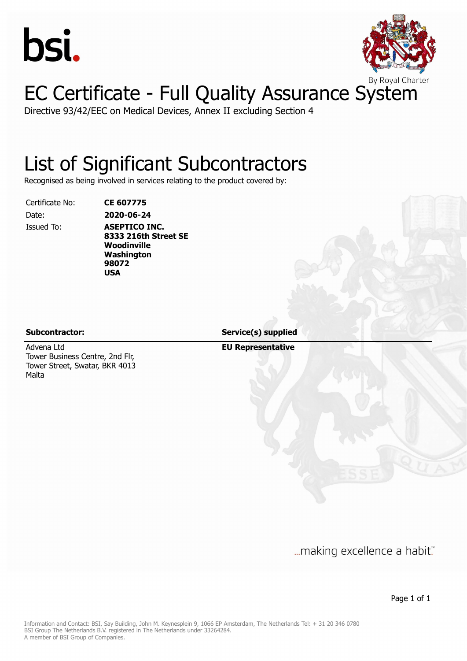



# EC Certificate - Full Quality Assurance System

Directive 93/42/EEC on Medical Devices, Annex II excluding Section 4

### List of Significant Subcontractors

Recognised as being involved in services relating to the product covered by:

Certificate No: **CE 607775** Date: **2020-06-24**

Issued To: **ASEPTICO INC. 8333 216th Street SE Woodinville Washington 98072 USA**

Advena Ltd Tower Business Centre, 2nd Flr, Tower Street, Swatar, BKR 4013 Malta

**Subcontractor: Service(s) supplied**

**EU Representative**

... making excellence a habit."

Page 1 of 1